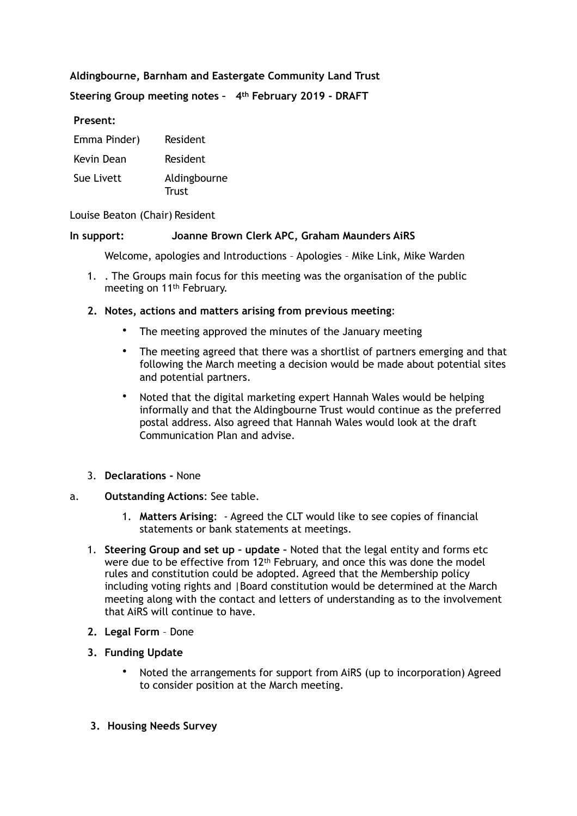# **Aldingbourne, Barnham and Eastergate Community Land Trust**

## **Steering Group meeting notes – 4th February 2019 - DRAFT**

#### **Present:**

| Emma Pinder) | Resident              |
|--------------|-----------------------|
| Kevin Dean   | Resident              |
| Sue Livett   | Aldingbourne<br>Trust |

#### Louise Beaton (Chair) Resident

#### **In support: Joanne Brown Clerk APC, Graham Maunders AiRS**

Welcome, apologies and Introductions – Apologies – Mike Link, Mike Warden

1. . The Groups main focus for this meeting was the organisation of the public meeting on 11th February.

#### **2. Notes, actions and matters arising from previous meeting**:

- The meeting approved the minutes of the January meeting
- The meeting agreed that there was a shortlist of partners emerging and that following the March meeting a decision would be made about potential sites and potential partners.
- Noted that the digital marketing expert Hannah Wales would be helping informally and that the Aldingbourne Trust would continue as the preferred postal address. Also agreed that Hannah Wales would look at the draft Communication Plan and advise.
- 3. **Declarations** None

## a. **Outstanding Actions**: See table.

- 1. **Matters Arising**: Agreed the CLT would like to see copies of financial statements or bank statements at meetings.
- 1. **Steering Group and set up update** Noted that the legal entity and forms etc were due to be effective from 12th February, and once this was done the model rules and constitution could be adopted. Agreed that the Membership policy including voting rights and |Board constitution would be determined at the March meeting along with the contact and letters of understanding as to the involvement that AiRS will continue to have.
- **2. Legal Form**  Done
- **3. Funding Update** 
	- Noted the arrangements for support from AiRS (up to incorporation) Agreed to consider position at the March meeting.
- **3. Housing Needs Survey**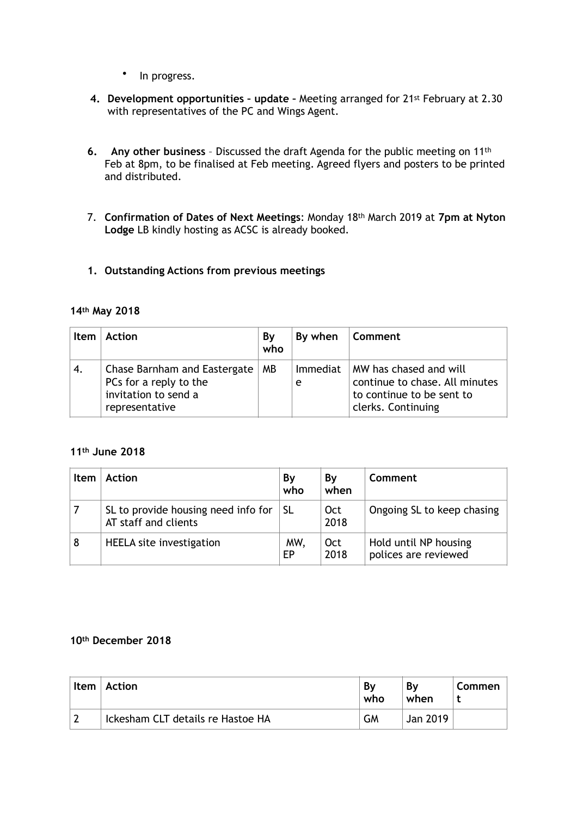- In progress.
- **4. Development opportunities update** Meeting arranged for 21st February at 2.30 with representatives of the PC and Wings Agent.
- **6. Any other business** Discussed the draft Agenda for the public meeting on 11th Feb at 8pm, to be finalised at Feb meeting. Agreed flyers and posters to be printed and distributed.
- 7. **Confirmation of Dates of Next Meetings**: Monday 18th March 2019 at **7pm at Nyton Lodge** LB kindly hosting as ACSC is already booked.
- **1. Outstanding Actions from previous meetings**

## **14th May 2018**

| <b>Item</b> | <b>Action</b>                                                                                    | By<br>who | By when              | Comment                                                                                                     |
|-------------|--------------------------------------------------------------------------------------------------|-----------|----------------------|-------------------------------------------------------------------------------------------------------------|
| 4.          | Chase Barnham and Eastergate<br>PCs for a reply to the<br>invitation to send a<br>representative | МB        | <b>Immediat</b><br>e | MW has chased and will<br>continue to chase. All minutes<br>to continue to be sent to<br>clerks. Continuing |

# **11th June 2018**

| <b>Item</b> | Action                                                      | Bγ<br>who  | Bv<br>when         | Comment                                       |  |
|-------------|-------------------------------------------------------------|------------|--------------------|-----------------------------------------------|--|
|             | SL to provide housing need info for<br>AT staff and clients | <b>SL</b>  | Oct<br>2018        | Ongoing SL to keep chasing                    |  |
| 8           | <b>HEELA</b> site investigation                             | MW.<br>EP. | <b>Oct</b><br>2018 | Hold until NP housing<br>polices are reviewed |  |

## **10th December 2018**

| <b>Item</b> | Action                            | By<br>who | Bν<br>when | Commen |
|-------------|-----------------------------------|-----------|------------|--------|
|             | Ickesham CLT details re Hastoe HA | GМ        | Jan 2019   |        |